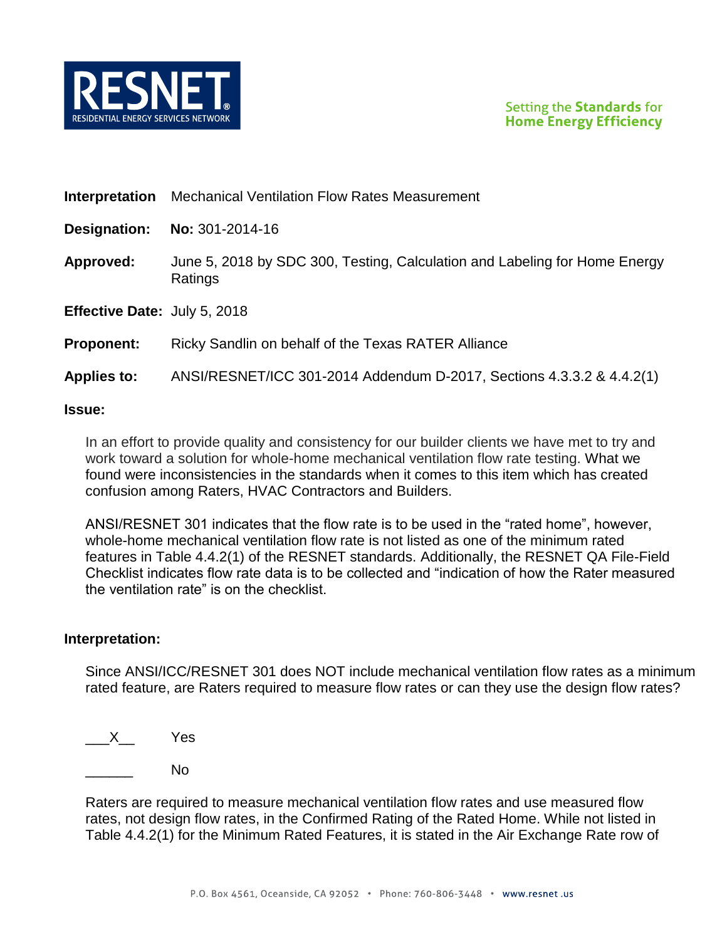

**Interpretation** Mechanical Ventilation Flow Rates Measurement

**Designation: No:** 301-2014-16

**Approved:** June 5, 2018 by SDC 300, Testing, Calculation and Labeling for Home Energy Ratings

**Effective Date:** July 5, 2018

### **Proponent:** Ricky Sandlin on behalf of the Texas RATER Alliance

### **Applies to:** ANSI/RESNET/ICC 301-2014 Addendum D-2017, Sections 4.3.3.2 & 4.4.2(1)

#### **Issue:**

In an effort to provide quality and consistency for our builder clients we have met to try and work toward a solution for whole-home mechanical ventilation flow rate testing. What we found were inconsistencies in the standards when it comes to this item which has created confusion among Raters, HVAC Contractors and Builders.

ANSI/RESNET 301 indicates that the flow rate is to be used in the "rated home", however, whole-home mechanical ventilation flow rate is not listed as one of the minimum rated features in Table 4.4.2(1) of the RESNET standards. Additionally, the RESNET QA File-Field Checklist indicates flow rate data is to be collected and "indication of how the Rater measured the ventilation rate" is on the checklist.

#### **Interpretation:**

Since ANSI/ICC/RESNET 301 does NOT include mechanical ventilation flow rates as a minimum rated feature, are Raters required to measure flow rates or can they use the design flow rates?

 $X$  Yes

 $N<sub>0</sub>$ 

Raters are required to measure mechanical ventilation flow rates and use measured flow rates, not design flow rates, in the Confirmed Rating of the Rated Home. While not listed in Table 4.4.2(1) for the Minimum Rated Features, it is stated in the Air Exchange Rate row of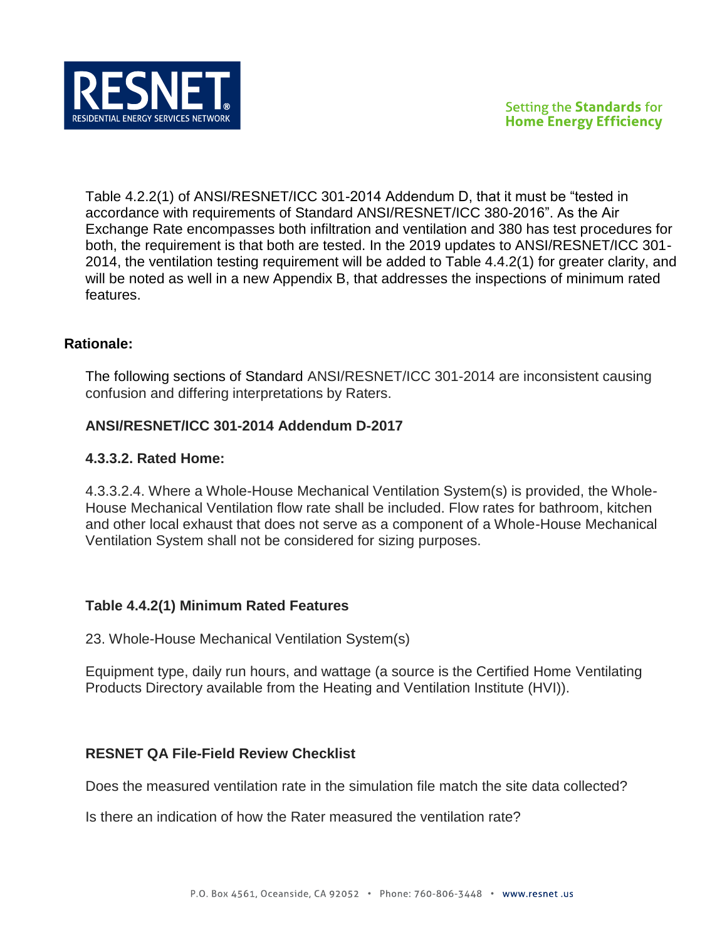

Table 4.2.2(1) of ANSI/RESNET/ICC 301-2014 Addendum D, that it must be "tested in accordance with requirements of Standard ANSI/RESNET/ICC 380-2016". As the Air Exchange Rate encompasses both infiltration and ventilation and 380 has test procedures for both, the requirement is that both are tested. In the 2019 updates to ANSI/RESNET/ICC 301- 2014, the ventilation testing requirement will be added to Table 4.4.2(1) for greater clarity, and will be noted as well in a new Appendix B, that addresses the inspections of minimum rated features.

# **Rationale:**

The following sections of Standard ANSI/RESNET/ICC 301-2014 are inconsistent causing confusion and differing interpretations by Raters.

# **ANSI/RESNET/ICC 301-2014 Addendum D-2017**

# **4.3.3.2. Rated Home:**

4.3.3.2.4. Where a Whole-House Mechanical Ventilation System(s) is provided, the Whole-House Mechanical Ventilation flow rate shall be included. Flow rates for bathroom, kitchen and other local exhaust that does not serve as a component of a Whole-House Mechanical Ventilation System shall not be considered for sizing purposes.

## **Table 4.4.2(1) Minimum Rated Features**

23. Whole-House Mechanical Ventilation System(s)

Equipment type, daily run hours, and wattage (a source is the Certified Home Ventilating Products Directory available from the Heating and Ventilation Institute (HVI)).

## **RESNET QA File-Field Review Checklist**

Does the measured ventilation rate in the simulation file match the site data collected?

Is there an indication of how the Rater measured the ventilation rate?